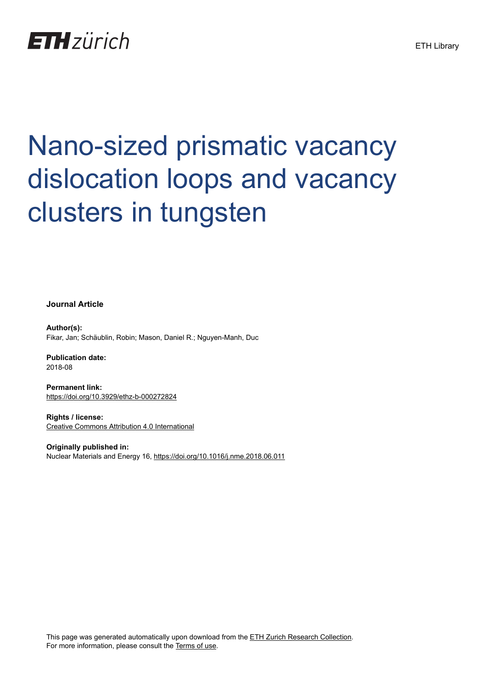## **ETH** zürich

# Nano-sized prismatic vacancy dislocation loops and vacancy clusters in tungsten

**Journal Article**

**Author(s):** Fikar, Jan; Schäublin, Robin; Mason, Daniel R.; Nguyen-Manh, Duc

**Publication date:** 2018-08

**Permanent link:** <https://doi.org/10.3929/ethz-b-000272824>

**Rights / license:** [Creative Commons Attribution 4.0 International](http://creativecommons.org/licenses/by/4.0/)

**Originally published in:** Nuclear Materials and Energy 16,<https://doi.org/10.1016/j.nme.2018.06.011>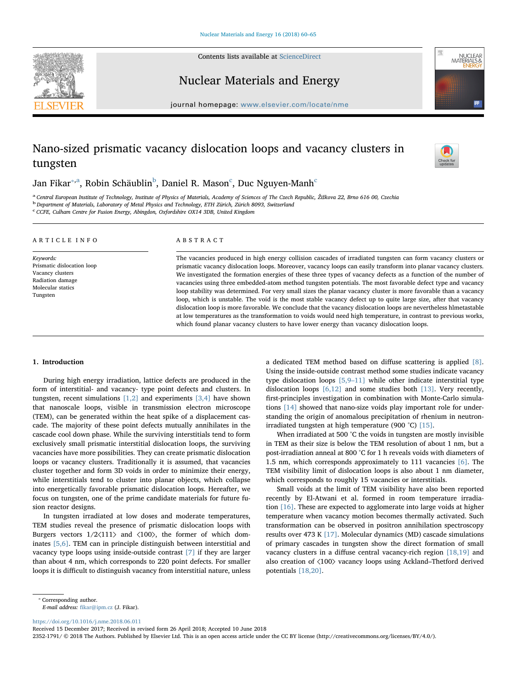Contents lists available at [ScienceDirect](http://www.sciencedirect.com/science/journal/23521791)





Nuclear Materials and Energy

journal homepage: [www.elsevier.com/locate/nme](https://www.elsevier.com/locate/nme)

### Nano-sized prismatic vacancy dislocation loops and vacancy clusters in tungsten



J[a](#page-1-1)n Fikar $^{*,\mathrm{a}}$ , Ro[b](#page-1-2)in S[c](#page-1-3)häublin $^{\mathrm{b}}$ , Daniel R. Mason $^{\mathrm{c}}$ , Duc Nguyen-Manh $^{\mathrm{c}}$ 

<span id="page-1-2"></span><span id="page-1-1"></span><sup>a</sup> Central European Institute of Technology, Institute of Physics of Materials, Academy of Sciences of The Czech Republic, Žižkova 22, Brno 616 00, Czechia<br><sup>b</sup> Department of Materials, Laboratory of Metal Physics and Tech

<span id="page-1-3"></span>

c CCFE, Culham Centre for Fusion Energy, Abingdon, Oxfordshire OX14 3DB, United Kingdom

| ARTICLE INFO                  | ABSTRACT                                                                                                         |  |  |
|-------------------------------|------------------------------------------------------------------------------------------------------------------|--|--|
| Keywords:                     | The vacancies produced in high energy collision cascades of irradiated tungsten can form vacancy clusters or     |  |  |
| Prismatic dislocation loop    | prismatic vacancy dislocation loops. Moreover, vacancy loops can easily transform into planar vacancy clusters.  |  |  |
| Vacancy clusters              | We investigated the formation energies of these three types of vacancy defects as a function of the number of    |  |  |
| Radiation damage              | vacancies using three embedded-atom method tungsten potentials. The most favorable defect type and vacancy       |  |  |
| Molecular statics<br>Tungsten | loop stability was determined. For very small sizes the planar vacancy cluster is more favorable than a vacancy  |  |  |
|                               | loop, which is unstable. The void is the most stable vacancy defect up to quite large size, after that vacancy   |  |  |
|                               | dislocation loop is more favorable. We conclude that the vacancy dislocation loops are nevertheless himetastable |  |  |
|                               | at low temperatures as the transformation to voids would need high temperature, in contrast to previous works,   |  |  |

which found planar vacancy clusters to have lower energy than vacancy dislocation loops.

#### 1. Introduction

During high energy irradiation, lattice defects are produced in the form of interstitial- and vacancy- type point defects and clusters. In tungsten, recent simulations [\[1,2\]](#page-5-0) and experiments [\[3,4\]](#page-5-1) have shown that nanoscale loops, visible in transmission electron microscope (TEM), can be generated within the heat spike of a displacement cascade. The majority of these point defects mutually annihilates in the cascade cool down phase. While the surviving interstitials tend to form exclusively small prismatic interstitial dislocation loops, the surviving vacancies have more possibilities. They can create prismatic dislocation loops or vacancy clusters. Traditionally it is assumed, that vacancies cluster together and form 3D voids in order to minimize their energy, while interstitials tend to cluster into planar objects, which collapse into energetically favorable prismatic dislocation loops. Hereafter, we focus on tungsten, one of the prime candidate materials for future fusion reactor designs.

In tungsten irradiated at low doses and moderate temperatures, TEM studies reveal the presence of prismatic dislocation loops with Burgers vectors  $1/2\langle 111 \rangle$  and  $\langle 100 \rangle$ , the former of which dominates [\[5,6\]](#page-5-2). TEM can in principle distinguish between interstitial and vacancy type loops using inside-outside contrast [\[7\]](#page-5-3) if they are larger than about 4 nm, which corresponds to 220 point defects. For smaller loops it is difficult to distinguish vacancy from interstitial nature, unless

a dedicated TEM method based on diffuse scattering is applied [\[8\]](#page-5-4). Using the inside-outside contrast method some studies indicate vacancy type dislocation loops [\[5,9](#page-5-2)–11] while other indicate interstitial type dislocation loops [\[6,12\]](#page-5-5) and some studies both [\[13\]](#page-5-6). Very recently, first-principles investigation in combination with Monte-Carlo simulations [\[14\]](#page-5-7) showed that nano-size voids play important role for understanding the origin of anomalous precipitation of rhenium in neutronirradiated tungsten at high temperature (900 °C) [\[15\].](#page-5-8)

When irradiated at 500 °C the voids in tungsten are mostly invisible in TEM as their size is below the TEM resolution of about 1 nm, but a post-irradiation anneal at 800 °C for 1 h reveals voids with diameters of 1.5 nm, which corresponds approximately to 111 vacancies [\[6\].](#page-5-5) The TEM visibility limit of dislocation loops is also about 1 nm diameter, which corresponds to roughly 15 vacancies or interstitials.

Small voids at the limit of TEM visibility have also been reported recently by El-Atwani et al. formed in room temperature irradiation [\[16\].](#page-5-9) These are expected to agglomerate into large voids at higher temperature when vacancy motion becomes thermally activated. Such transformation can be observed in positron annihilation spectroscopy results over 473 K [\[17\].](#page-5-10) Molecular dynamics (MD) cascade simulations of primary cascades in tungsten show the direct formation of small vacancy clusters in a diffuse central vacancy-rich region [\[18,19\]](#page-5-11) and also creation of ⟨100⟩ vacancy loops using Ackland–Thetford derived potentials [\[18,20\].](#page-5-11)

<span id="page-1-0"></span>⁎ Corresponding author.

<https://doi.org/10.1016/j.nme.2018.06.011>

Received 15 December 2017; Received in revised form 26 April 2018; Accepted 10 June 2018

2352-1791/ © 2018 The Authors. Published by Elsevier Ltd. This is an open access article under the CC BY license (http://creativecommons.org/licenses/BY/4.0/).

E-mail address: fi[kar@ipm.cz](mailto:fikar@ipm.cz) (J. Fikar).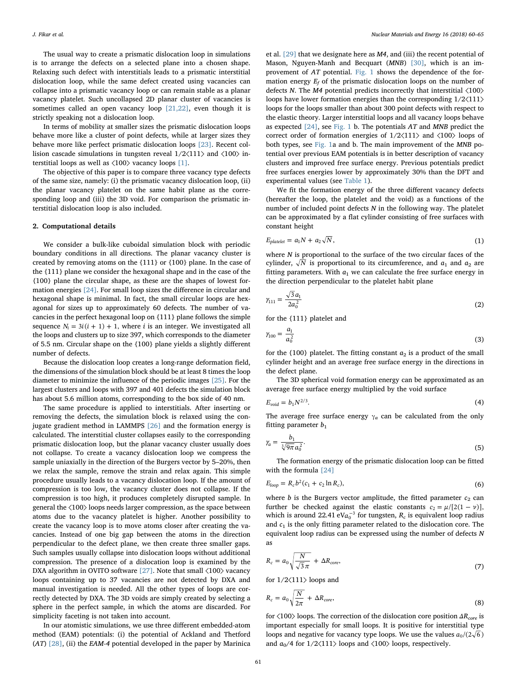The usual way to create a prismatic dislocation loop in simulations is to arrange the defects on a selected plane into a chosen shape. Relaxing such defect with interstitials leads to a prismatic interstitial dislocation loop, while the same defect created using vacancies can collapse into a prismatic vacancy loop or can remain stable as a planar vacancy platelet. Such uncollapsed 2D planar cluster of vacancies is sometimes called an open vacancy loop [\[21,22\],](#page-5-12) even though it is strictly speaking not a dislocation loop.

In terms of mobility at smaller sizes the prismatic dislocation loops behave more like a cluster of point defects, while at larger sizes they behave more like perfect prismatic dislocation loops [\[23\].](#page-6-0) Recent collision cascade simulations in tungsten reveal 1/2⟨111⟩ and ⟨100⟩ interstitial loops as well as ⟨100⟩ vacancy loops [\[1\]](#page-5-0).

The objective of this paper is to compare three vacancy type defects of the same size, namely: (i) the prismatic vacancy dislocation loop, (ii) the planar vacancy platelet on the same habit plane as the corresponding loop and (iii) the 3D void. For comparison the prismatic interstitial dislocation loop is also included.

#### 2. Computational details

We consider a bulk-like cuboidal simulation block with periodic boundary conditions in all directions. The planar vacancy cluster is created by removing atoms on the {111} or {100} plane. In the case of the {111} plane we consider the hexagonal shape and in the case of the {100} plane the circular shape, as these are the shapes of lowest formation energies [\[24\].](#page-6-1) For small loop sizes the difference in circular and hexagonal shape is minimal. In fact, the small circular loops are hexagonal for sizes up to approximately 60 defects. The number of vacancies in the perfect hexagonal loop on {111} plane follows the simple sequence  $N_i = 3i(i + 1) + 1$ , where *i* is an integer. We investigated all the loops and clusters up to size 397, which corresponds to the diameter of 5.5 nm. Circular shape on the {100} plane yields a slightly different number of defects.

Because the dislocation loop creates a long-range deformation field, the dimensions of the simulation block should be at least 8 times the loop diameter to minimize the influence of the periodic images [\[25\].](#page-6-2) For the largest clusters and loops with 397 and 401 defects the simulation block has about 5.6 million atoms, corresponding to the box side of 40 nm.

The same procedure is applied to interstitials. After inserting or removing the defects, the simulation block is relaxed using the conjugate gradient method in LAMMPS [\[26\]](#page-6-3) and the formation energy is calculated. The interstitial cluster collapses easily to the corresponding prismatic dislocation loop, but the planar vacancy cluster usually does not collapse. To create a vacancy dislocation loop we compress the sample uniaxially in the direction of the Burgers vector by 5–20%, then we relax the sample, remove the strain and relax again. This simple procedure usually leads to a vacancy dislocation loop. If the amount of compression is too low, the vacancy cluster does not collapse. If the compression is too high, it produces completely disrupted sample. In general the ⟨100⟩ loops needs larger compression, as the space between atoms due to the vacancy platelet is higher. Another possibility to create the vacancy loop is to move atoms closer after creating the vacancies. Instead of one big gap between the atoms in the direction perpendicular to the defect plane, we then create three smaller gaps. Such samples usually collapse into dislocation loops without additional compression. The presence of a dislocation loop is examined by the DXA algorithm in OVITO software [\[27\]](#page-6-4). Note that small  $\langle 100 \rangle$  vacancy loops containing up to 37 vacancies are not detected by DXA and manual investigation is needed. All the other types of loops are correctly detected by DXA. The 3D voids are simply created by selecting a sphere in the perfect sample, in which the atoms are discarded. For simplicity faceting is not taken into account.

In our atomistic simulations, we use three different embedded-atom method (EAM) potentials: (i) the potential of Ackland and Thetford  $(AT)$  [\[28\],](#page-6-5) (ii) the EAM-4 potential developed in the paper by Marinica

et al. [\[29\]](#page-6-6) that we designate here as M4, and (iii) the recent potential of Mason, Nguyen-Manh and Becquart (MNB) [\[30\],](#page-6-7) which is an improvement of AT potential. [Fig. 1](#page-3-0) shows the dependence of the formation energy  $E_f$  of the prismatic dislocation loops on the number of defects N. The M4 potential predicts incorrectly that interstitial ⟨100⟩ loops have lower formation energies than the corresponding 1/2⟨111⟩ loops for the loops smaller than about 300 point defects with respect to the elastic theory. Larger interstitial loops and all vacancy loops behave as expected [\[24\]](#page-6-1), see [Fig. 1](#page-3-0) b. The potentials AT and MNB predict the correct order of formation energies of 1/2⟨111⟩ and ⟨100⟩ loops of both types, see [Fig. 1](#page-3-0)a and b. The main improvement of the MNB potential over previous EAM potentials is in better description of vacancy clusters and improved free surface energy. Previous potentials predict free surfaces energies lower by approximately 30% than the DFT and experimental values (see [Table 1\)](#page-3-1).

We fit the formation energy of the three different vacancy defects (hereafter the loop, the platelet and the void) as a functions of the number of included point defects N in the following way. The platelet can be approximated by a flat cylinder consisting of free surfaces with constant height

<span id="page-2-0"></span>
$$
E_{platelet} = a_1 N + a_2 \sqrt{N}, \qquad (1)
$$

where  $N$  is proportional to the surface of the two circular faces of the cylinder,  $\sqrt{N}$  is proportional to its circumference, and  $a_1$  and  $a_2$  are fitting parameters. With  $a_1$  we can calculate the free surface energy in the direction perpendicular to the platelet habit plane

<span id="page-2-1"></span>
$$
\gamma_{111} = \frac{\sqrt{3}a_1}{2a_0^2} \tag{2}
$$

<span id="page-2-2"></span>for the {111} platelet and

$$
\gamma_{100} = \frac{a_1}{a_0^2} \tag{3}
$$

for the {100} platelet. The fitting constant  $a_2$  is a product of the small cylinder height and an average free surface energy in the directions in the defect plane.

<span id="page-2-3"></span>The 3D spherical void formation energy can be approximated as an average free surface energy multiplied by the void surface

$$
E_{void} = b_1 N^{2/3}.
$$
\n<sup>(4)</sup>

<span id="page-2-4"></span>The average free surface energy  $\gamma_a$  can be calculated from the only fitting parameter  $b_1$ 

$$
\gamma_a = \frac{b_1}{\sqrt[3]{9\pi}a_0^2}.\tag{5}
$$

<span id="page-2-5"></span>The formation energy of the prismatic dislocation loop can be fitted with the formula [\[24\]](#page-6-1)

$$
E_{loop} = R_c b^2 (c_1 + c_2 \ln R_c),
$$
\n(6)

where  $b$  is the Burgers vector amplitude, the fitted parameter  $c_2$  can further be checked against the elastic constants  $c_2 = \mu/[2(1 - \nu)],$ which is around 22.41 eV $a_0^{-3}$  for tungsten,  $R_c$  is equivalent loop radius and  $c_1$  is the only fitting parameter related to the dislocation core. The equivalent loop radius can be expressed using the number of defects N as

$$
R_c = a_0 \sqrt{\frac{N}{\sqrt{3}\,\pi}} + \Delta R_{core},\tag{7}
$$

for 1/2⟨111⟩ loops and

$$
R_c = a_0 \sqrt{\frac{N}{2\pi}} + \Delta R_{core}, \tag{8}
$$

for  $\langle 100 \rangle$  loops. The correction of the dislocation core position  $\Delta R_{core}$  is important especially for small loops. It is positive for interstitial type loops and negative for vacancy type loops. We use the values  $a_0/(2\sqrt{6})$ and  $a_0/4$  for  $1/2\langle 111 \rangle$  loops and  $\langle 100 \rangle$  loops, respectively.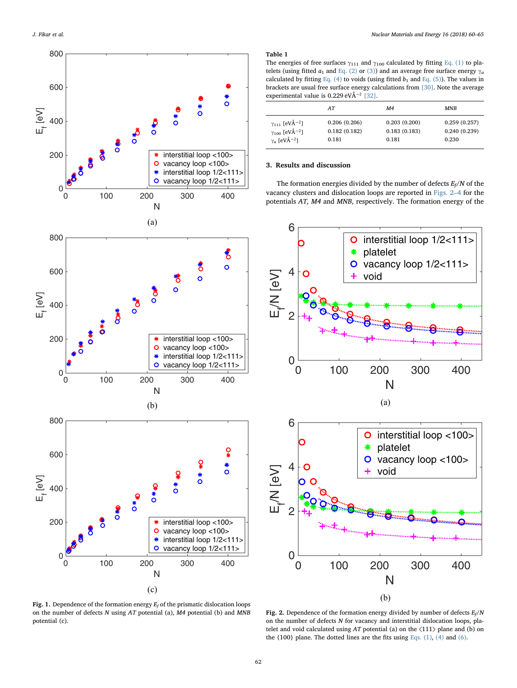<span id="page-3-0"></span>

#### <span id="page-3-1"></span>Table 1

The energies of free surfaces  $\gamma_{111}$  and  $\gamma_{100}$  calculated by fitting [Eq. \(1\)](#page-2-0) to platelets (using fitted  $a_1$  and [Eq. \(2\)](#page-2-1) or [\(3\)](#page-2-2)) and an average free surface energy  $\gamma_a$ calculated by fitting [Eq. \(4\)](#page-2-3) to voids (using fitted  $b_1$  and [Eq. \(5\)](#page-2-4)). The values in brackets are usual free surface energy calculations from [\[30\].](#page-6-7) Note the average experimental value is 0.229 eVÅ−<sup>2</sup> [\[32\].](#page-6-8)

|                                     | AT           | M <sub>4</sub> | <b>MNB</b>   |
|-------------------------------------|--------------|----------------|--------------|
| $\gamma_{111}$ [eVÅ <sup>-2</sup> ] | 0.206(0.206) | 0.203(0.200)   | 0.259(0.257) |
| $\gamma_{100}$ [eVÅ <sup>-2</sup> ] | 0.182(0.182) | 0.183(0.183)   | 0.240(0.239) |
| $\gamma_a$ [eVÅ <sup>-2</sup> ]     | 0.181        | 0.181          | 0.230        |

#### 3. Results and discussion

The formation energies divided by the number of defects  $E_f/N$  of the vacancy clusters and dislocation loops are reported in [Figs. 2](#page-3-2)–4 for the potentials AT, M4 and MNB, respectively. The formation energy of the

<span id="page-3-2"></span>

Fig. 1. Dependence of the formation energy  $E_f$  of the prismatic dislocation loops on the number of defects N using AT potential (a), M4 potential (b) and MNB potential (c).

Fig. 2. Dependence of the formation energy divided by number of defects  $E_f/N$ on the number of defects N for vacancy and interstitial dislocation loops, platelet and void calculated using  $AT$  potential (a) on the  $\langle 111 \rangle$  plane and (b) on the  $\{100\}$  plane. The dotted lines are the fits using Eqs.  $(1)$ ,  $(4)$  and  $(6)$ .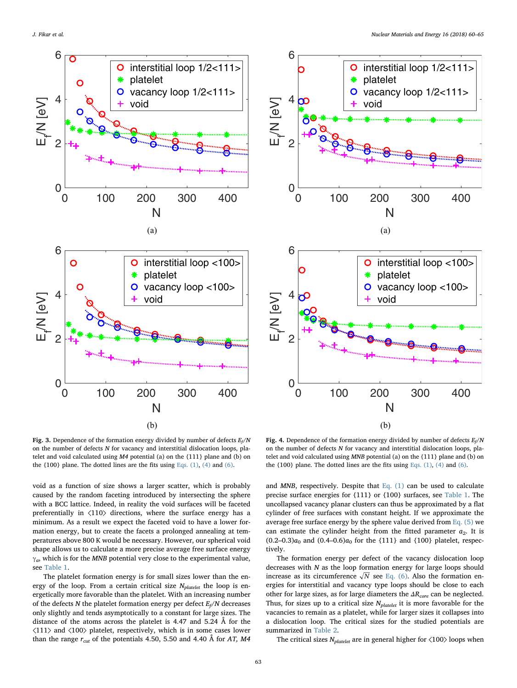



Fig. 3. Dependence of the formation energy divided by number of defects  $E_f/N$ on the number of defects N for vacancy and interstitial dislocation loops, platelet and void calculated using M4 potential (a) on the {111} plane and (b) on the  $\{100\}$  plane. The dotted lines are the fits using Eqs.  $(1)$ ,  $(4)$  and  $(6)$ .

void as a function of size shows a larger scatter, which is probably caused by the random faceting introduced by intersecting the sphere with a BCC lattice. Indeed, in reality the void surfaces will be faceted preferentially in ⟨110⟩ directions, where the surface energy has a minimum. As a result we expect the faceted void to have a lower formation energy, but to create the facets a prolonged annealing at temperatures above 800 K would be necessary. However, our spherical void shape allows us to calculate a more precise average free surface energy  $\gamma_a$ , which is for the MNB potential very close to the experimental value, see [Table 1.](#page-3-1)

The platelet formation energy is for small sizes lower than the energy of the loop. From a certain critical size  $N_{platelet}$  the loop is energetically more favorable than the platelet. With an increasing number of the defects  $N$  the platelet formation energy per defect  $E_f/N$  decreases only slightly and tends asymptotically to a constant for large sizes. The distance of the atoms across the platelet is 4.47 and 5.24 Å for the ⟨111⟩ and ⟨100⟩ platelet, respectively, which is in some cases lower than the range  $r_{\text{cut}}$  of the potentials 4.50, 5.50 and 4.40 Å for AT, M4

Fig. 4. Dependence of the formation energy divided by number of defects  $E_f/N$ on the number of defects N for vacancy and interstitial dislocation loops, platelet and void calculated using MNB potential (a) on the {111} plane and (b) on the  $\{100\}$  plane. The dotted lines are the fits using Eqs.  $(1)$ ,  $(4)$  and  $(6)$ .

and  $MNB$ , respectively. Despite that Eq.  $(1)$  can be used to calculate precise surface energies for {111} or {100} surfaces, see [Table 1](#page-3-1). The uncollapsed vacancy planar clusters can thus be approximated by a flat cylinder of free surfaces with constant height. If we approximate the average free surface energy by the sphere value derived from Eq.  $(5)$  we can estimate the cylinder height from the fitted parameter  $a_2$ . It is  $(0.2-0.3)a_0$  and  $(0.4-0.6)a_0$  for the {111} and {100} platelet, respectively.

The formation energy per defect of the vacancy dislocation loop decreases with  $N$  as the loop formation energy for large loops should increase as its circumference  $\sqrt{N}$  see [Eq. \(6\).](#page-2-5) Also the formation energies for interstitial and vacancy type loops should be close to each other for large sizes, as for large diameters the  $\Delta R_{core}$  can be neglected. Thus, for sizes up to a critical size  $N_{platelet}$  it is more favorable for the vacancies to remain as a platelet, while for larger sizes it collapses into a dislocation loop. The critical sizes for the studied potentials are summarized in [Table 2](#page-5-13).

The critical sizes  $N_{platelet}$  are in general higher for  $\langle 100 \rangle$  loops when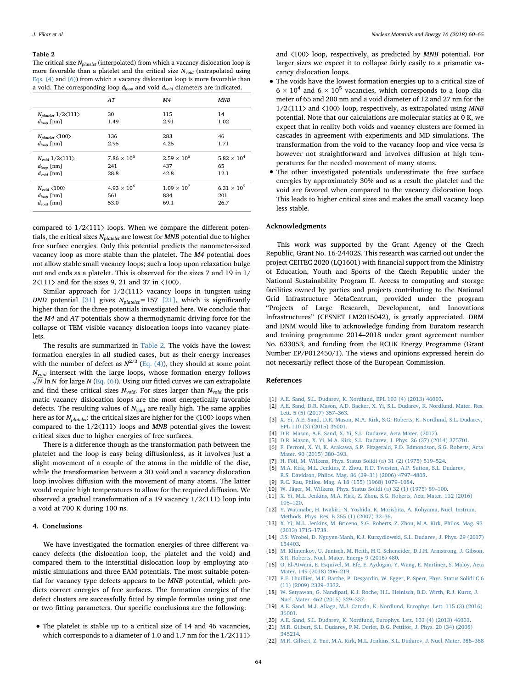#### <span id="page-5-13"></span>Table 2

The critical size  $N_{platelet}$  (interpolated) from which a vacancy dislocation loop is more favorable than a platelet and the critical size  $N_{void}$  (extrapolated using [Eqs. \(4\)](#page-2-3) and [\(6\)](#page-2-5)) from which a vacancy dislocation loop is more favorable than a void. The corresponding loop  $d_{loop}$  and void  $d_{void}$  diameters are indicated.

|                                                                      | AT                          | M <sub>4</sub>              | <b>MNB</b>                  |
|----------------------------------------------------------------------|-----------------------------|-----------------------------|-----------------------------|
| $N_{platelet}$ 1/2 $\langle$ 111 $\rangle$                           | 30                          | 115                         | 14                          |
| $d_{loop}$ [nm]                                                      | 1.49                        | 2.91                        | 1.02                        |
| $N_{platelet} \langle 100 \rangle$                                   | 136                         | 283                         | 46                          |
| $d_{loop}$ [nm]                                                      | 2.95                        | 4.25                        | 1.71                        |
| $N_{void}$ 1/2 $\langle 111 \rangle$                                 | $7.86 \times 10^{5}$        | $2.59 \times 10^{6}$        | $5.82 \times 10^{4}$        |
| $d_{loop}$ [nm]                                                      | 241                         | 437                         | 65                          |
| $d_{void}$ [nm]                                                      | 28.8                        | 42.8                        | 12.1                        |
| $N_{void} \langle 100 \rangle$<br>$d_{loop}$ [nm]<br>$d_{void}$ [nm] | $4.93 \times 10^{6}$<br>561 | $1.09 \times 10^{7}$<br>834 | $6.31 \times 10^{5}$<br>201 |

compared to 1/2⟨111⟩ loops. When we compare the different potentials, the critical sizes  $N_{platelet}$  are lowest for  $\emph{MNB}$  potential due to higher free surface energies. Only this potential predicts the nanometer-sized vacancy loop as more stable than the platelet. The M4 potential does not allow stable small vacancy loops; such a loop upon relaxation bulge out and ends as a platelet. This is observed for the sizes 7 and 19 in 1/  $2\langle 111 \rangle$  and for the sizes 9, 21 and 37 in  $\langle 100 \rangle$ .

Similar approach for  $1/2\langle 111 \rangle$  vacancy loops in tungsten using DND potential [\[31\]](#page-6-9) gives  $N_{platelet}=157$  [\[21\]](#page-5-12), which is significantly higher than for the three potentials investigated here. We conclude that the M4 and AT potentials show a thermodynamic driving force for the collapse of TEM visible vacancy dislocation loops into vacancy platelets.

The results are summarized in [Table 2](#page-5-13). The voids have the lowest formation energies in all studied cases, but as their energy increases with the number of defect as  $N^{2/3}$  ([Eq. \(4\)](#page-2-3)), they should at some point  $N_{void}$  intersect with the large loops, whose formation energy follows  $\sqrt{N}$  ln  $N$  for large  $N$  [\(Eq. \(6\)](#page-2-5)). Using our fitted curves we can extrapolate and find these critical sizes  $N_{void}$ . For sizes larger than  $N_{void}$  the prismatic vacancy dislocation loops are the most energetically favorable defects. The resulting values of  $N_{void}$  are really high. The same applies here as for  $N_{platelet}$ : the critical sizes are higher for the  $\langle 100 \rangle$  loops when compared to the 1/2⟨111⟩ loops and MNB potential gives the lowest critical sizes due to higher energies of free surfaces.

There is a difference though as the transformation path between the platelet and the loop is easy being diffusionless, as it involves just a slight movement of a couple of the atoms in the middle of the disc, while the transformation between a 3D void and a vacancy dislocation loop involves diffusion with the movement of many atoms. The latter would require high temperatures to allow for the required diffusion. We observed a gradual transformation of a 19 vacancy 1/2⟨111⟩ loop into a void at 700 K during 100 ns.

#### 4. Conclusions

We have investigated the formation energies of three different vacancy defects (the dislocation loop, the platelet and the void) and compared them to the interstitial dislocation loop by employing atomistic simulations and three EAM potentials. The most suitable potential for vacancy type defects appears to be MNB potential, which predicts correct energies of free surfaces. The formation energies of the defect clusters are successfully fitted by simple formulas using just one or two fitting parameters. Our specific conclusions are the following:

• The platelet is stable up to a critical size of 14 and 46 vacancies, which corresponds to a diameter of 1.0 and 1.7 nm for the 1/2⟨111⟩

and ⟨100⟩ loop, respectively, as predicted by MNB potential. For larger sizes we expect it to collapse fairly easily to a prismatic vacancy dislocation loops.

- The voids have the lowest formation energies up to a critical size of  $6\times10^4$  and  $6\times10^5$  vacancies, which corresponds to a loop diameter of 65 and 200 nm and a void diameter of 12 and 27 nm for the 1/2 $\langle 111 \rangle$  and  $\langle 100 \rangle$  loop, respectively, as extrapolated using MNB potential. Note that our calculations are molecular statics at 0 K, we expect that in reality both voids and vacancy clusters are formed in cascades in agreement with experiments and MD simulations. The transformation from the void to the vacancy loop and vice versa is however not straightforward and involves diffusion at high temperatures for the needed movement of many atoms.
- The other investigated potentials underestimate the free surface energies by approximately 30% and as a result the platelet and the void are favored when compared to the vacancy dislocation loop. This leads to higher critical sizes and makes the small vacancy loop less stable.

#### Acknowledgments

This work was supported by the Grant Agency of the Czech Republic, Grant No. 16-24402S. This research was carried out under the project CEITEC 2020 (LQ1601) with financial support from the Ministry of Education, Youth and Sports of the Czech Republic under the National Sustainability Program II. Access to computing and storage facilities owned by parties and projects contributing to the National Grid Infrastructure MetaCentrum, provided under the program "Projects of Large Research, Development, and Innovations Infrastructures" (CESNET LM2015042), is greatly appreciated. DRM and DNM would like to acknowledge funding from Euratom research and training programme 2014–2018 under grant agreement number No. 633053, and funding from the RCUK Energy Programme (Grant Number EP/P012450/1). The views and opinions expressed herein do not necessarily reflect those of the European Commission.

#### References

- <span id="page-5-0"></span>[1] [A.E. Sand, S.L. Dudarev, K. Nordlund, EPL 103 \(4\) \(2013\) 46003.](http://refhub.elsevier.com/S2352-1791(17)30187-4/sbref0001)
- [2] [A.E. Sand, D.R. Mason, A.D. Backer, X. Yi, S.L. Dudarev, K. Nordlund, Mater. Res.](http://refhub.elsevier.com/S2352-1791(17)30187-4/sbref0002) [Lett. 5 \(5\) \(2017\) 357](http://refhub.elsevier.com/S2352-1791(17)30187-4/sbref0002)–363.
- <span id="page-5-1"></span>[3] [X. Yi, A.E. Sand, D.R. Mason, M.A. Kirk, S.G. Roberts, K. Nordlund, S.L. Dudarev,](http://refhub.elsevier.com/S2352-1791(17)30187-4/sbref0003) [EPL 110 \(3\) \(2015\) 36001.](http://refhub.elsevier.com/S2352-1791(17)30187-4/sbref0003)
- [4] [D.R. Mason, A.E. Sand, X. Yi, S.L. Dudarev, Acta Mater. \(2017\).](http://refhub.elsevier.com/S2352-1791(17)30187-4/sbref0004)
- <span id="page-5-2"></span>[5] [D.R. Mason, X. Yi, M.A. Kirk, S.L. Dudarev, J. Phys. 26 \(37\) \(2014\) 375701.](http://refhub.elsevier.com/S2352-1791(17)30187-4/sbref0005)
- <span id="page-5-5"></span>[6] [F. Ferroni, X. Yi, K. Arakawa, S.P. Fitzgerald, P.D. Edmondson, S.G. Roberts, Acta](http://refhub.elsevier.com/S2352-1791(17)30187-4/sbref0006) [Mater. 90 \(2015\) 380](http://refhub.elsevier.com/S2352-1791(17)30187-4/sbref0006)–393.
- <span id="page-5-3"></span>[7] [H. Föll, M. Wilkens, Phys. Status Solidi \(a\) 31 \(2\) \(1975\) 519](http://refhub.elsevier.com/S2352-1791(17)30187-4/sbref0007)–524.
- <span id="page-5-4"></span>[8] [M.A. Kirk, M.L. Jenkins, Z. Zhou, R.D. Twesten, A.P. Sutton, S.L. Dudarev,](http://refhub.elsevier.com/S2352-1791(17)30187-4/sbref0008) [R.S. Davidson, Philos. Mag. 86 \(29](http://refhub.elsevier.com/S2352-1791(17)30187-4/sbref0008)–31) (2006) 4797–4808.
- [9] [R.C. Rau, Philos. Mag. A 18 \(155\) \(1968\) 1079](http://refhub.elsevier.com/S2352-1791(17)30187-4/sbref0009)–1084.
- [10] [W. Jäger, M. Wilkens, Phys. Status Solidi \(a\) 32 \(1\) \(1975\) 89](http://refhub.elsevier.com/S2352-1791(17)30187-4/sbref0010)–100.
- [11] [X. Yi, M.L. Jenkins, M.A. Kirk, Z. Zhou, S.G. Roberts, Acta Mater. 112 \(2016\)](http://refhub.elsevier.com/S2352-1791(17)30187-4/sbref0011) 105–[120.](http://refhub.elsevier.com/S2352-1791(17)30187-4/sbref0011)
- [12] [Y. Watanabe, H. Iwakiri, N. Yoshida, K. Morishita, A. Kohyama, Nucl. Instrum.](http://refhub.elsevier.com/S2352-1791(17)30187-4/sbref0012) [Methods. Phys. Res. B 255 \(1\) \(2007\) 32](http://refhub.elsevier.com/S2352-1791(17)30187-4/sbref0012)–36.
- <span id="page-5-6"></span>[13] [X. Yi, M.L. Jenkins, M. Briceno, S.G. Roberts, Z. Zhou, M.A. Kirk, Philos. Mag. 93](http://refhub.elsevier.com/S2352-1791(17)30187-4/sbref0013) [\(2013\) 1715](http://refhub.elsevier.com/S2352-1791(17)30187-4/sbref0013)–1738.
- <span id="page-5-7"></span>[14] [J.S. Wrobel, D. Nguyen-Manh, K.J. Kurzydlowski, S.L. Dudarev, J. Phys. 29 \(2017\)](http://refhub.elsevier.com/S2352-1791(17)30187-4/sbref0014) [154403.](http://refhub.elsevier.com/S2352-1791(17)30187-4/sbref0014)
- <span id="page-5-8"></span>[15] [M. Klimenkov, U. Jantsch, M. Reith, H.C. Scheneider, D.J.H. Armstrong, J. Gibson,](http://refhub.elsevier.com/S2352-1791(17)30187-4/sbref0015) [S.R. Roberts, Nucl. Mater. Energy 9 \(2016\) 480.](http://refhub.elsevier.com/S2352-1791(17)30187-4/sbref0015)
- <span id="page-5-9"></span>[16] [O. El-Atwani, E. Esquivel, M. Efe, E. Aydogan, Y. Wang, E. Martinez, S. Maloy, Acta](http://refhub.elsevier.com/S2352-1791(17)30187-4/sbref0016) [Mater. 149 \(2018\) 206](http://refhub.elsevier.com/S2352-1791(17)30187-4/sbref0016)–219.
- <span id="page-5-10"></span>[17] [P.E. Lhuillier, M.F. Barthe, P. Desgardin, W. Egger, P. Sperr, Phys. Status Solidi C 6](http://refhub.elsevier.com/S2352-1791(17)30187-4/sbref0017) [\(11\) \(2009\) 2329](http://refhub.elsevier.com/S2352-1791(17)30187-4/sbref0017)–2332.
- <span id="page-5-11"></span>[18] [W. Setyawan, G. Nandipati, K.J. Roche, H.L. Heinisch, B.D. Wirth, R.J. Kurtz, J.](http://refhub.elsevier.com/S2352-1791(17)30187-4/sbref0018) [Nucl. Mater. 462 \(2015\) 329](http://refhub.elsevier.com/S2352-1791(17)30187-4/sbref0018)–337.
- [19] [A.E. Sand, M.J. Aliaga, M.J. Caturla, K. Nordlund, Europhys. Lett. 115 \(3\) \(2016\)](http://refhub.elsevier.com/S2352-1791(17)30187-4/sbref0019) [36001.](http://refhub.elsevier.com/S2352-1791(17)30187-4/sbref0019)
- <span id="page-5-12"></span>[20] [A.E. Sand, S.L. Dudarev, K. Nordlund, Europhys. Lett. 103 \(4\) \(2013\) 46003.](http://refhub.elsevier.com/S2352-1791(17)30187-4/sbref0020)
- [21] [M.R. Gilbert, S.L. Dudarev, P.M. Derlet, D.G. Pettifor, J. Phys. 20 \(34\) \(2008\)](http://refhub.elsevier.com/S2352-1791(17)30187-4/sbref0021) [345214.](http://refhub.elsevier.com/S2352-1791(17)30187-4/sbref0021)
- [22] M.R. [Gilbert, Z. Yao, M.A. Kirk, M.L. Jenkins, S.L. Dudarev, J. Nucl. Mater. 386](http://refhub.elsevier.com/S2352-1791(17)30187-4/sbref0022)–388